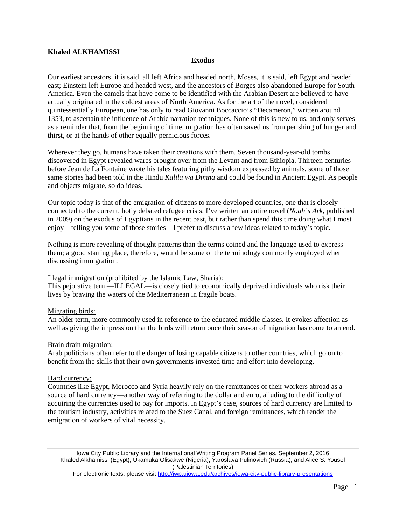# **Khaled ALKHAMISSI**

### **Exodus**

Our earliest ancestors, it is said, all left Africa and headed north, Moses, it is said, left Egypt and headed east; Einstein left Europe and headed west, and the ancestors of Borges also abandoned Europe for South America. Even the camels that have come to be identified with the Arabian Desert are believed to have actually originated in the coldest areas of North America. As for the art of the novel, considered quintessentially European, one has only to read Giovanni Boccaccio's "Decameron," written around 1353, to ascertain the influence of Arabic narration techniques. None of this is new to us, and only serves as a reminder that, from the beginning of time, migration has often saved us from perishing of hunger and thirst, or at the hands of other equally pernicious forces.

Wherever they go, humans have taken their creations with them. Seven thousand-year-old tombs discovered in Egypt revealed wares brought over from the Levant and from Ethiopia. Thirteen centuries before Jean de La Fontaine wrote his tales featuring pithy wisdom expressed by animals, some of those same stories had been told in the Hindu *Kalila wa Dimna* and could be found in Ancient Egypt. As people and objects migrate, so do ideas.

Our topic today is that of the emigration of citizens to more developed countries, one that is closely connected to the current, hotly debated refugee crisis. I've written an entire novel (*Noah's Ark*, published in 2009) on the exodus of Egyptians in the recent past, but rather than spend this time doing what I most enjoy—telling you some of those stories—I prefer to discuss a few ideas related to today's topic.

Nothing is more revealing of thought patterns than the terms coined and the language used to express them; a good starting place, therefore, would be some of the terminology commonly employed when discussing immigration.

#### Illegal immigration (prohibited by the Islamic Law, Sharia):

This pejorative term—ILLEGAL—is closely tied to economically deprived individuals who risk their lives by braving the waters of the Mediterranean in fragile boats.

#### Migrating birds:

An older term, more commonly used in reference to the educated middle classes. It evokes affection as well as giving the impression that the birds will return once their season of migration has come to an end.

#### Brain drain migration:

Arab politicians often refer to the danger of losing capable citizens to other countries, which go on to benefit from the skills that their own governments invested time and effort into developing.

#### Hard currency:

Countries like Egypt, Morocco and Syria heavily rely on the remittances of their workers abroad as a source of hard currency—another way of referring to the dollar and euro, alluding to the difficulty of acquiring the currencies used to pay for imports. In Egypt's case, sources of hard currency are limited to the tourism industry, activities related to the Suez Canal, and foreign remittances, which render the emigration of workers of vital necessity.

Iowa City Public Library and the International Writing Program Panel Series, September 2, 2016 Khaled Alkhamissi (Egypt), Ukamaka Olisakwe (Nigeria), Yaroslava Pulinovich (Russia), and Alice S. Yousef (Palestinian Territories)

For electronic texts, please visit<http://iwp.uiowa.edu/archives/iowa-city-public-library-presentations>